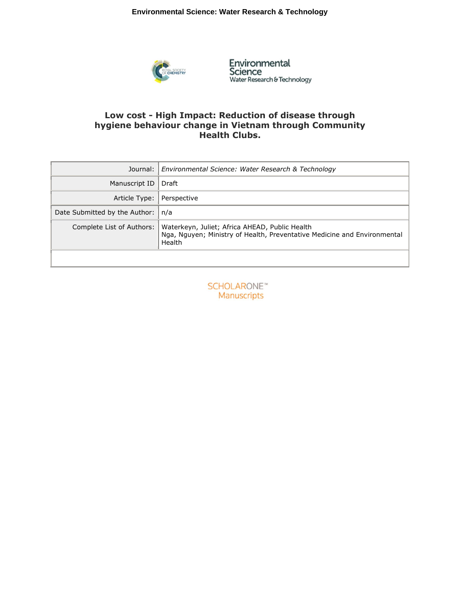

Environmental<br>Science<br><sub>Water Research & Technology</sub>

# **Low cost - High Impact: Reduction of disease through hygiene behaviour change in Vietnam through Community Health Clubs.**

| Journal: I                    | Environmental Science: Water Research & Technology                                                                                   |  |
|-------------------------------|--------------------------------------------------------------------------------------------------------------------------------------|--|
| Manuscript ID                 | Draft                                                                                                                                |  |
| Article Type:                 | Perspective                                                                                                                          |  |
| Date Submitted by the Author: | n/a                                                                                                                                  |  |
| Complete List of Authors:     | Waterkeyn, Juliet; Africa AHEAD, Public Health<br>Nga, Nguyen; Ministry of Health, Preventative Medicine and Environmental<br>Health |  |
|                               |                                                                                                                                      |  |

**SCHOLARONE**™ Manuscripts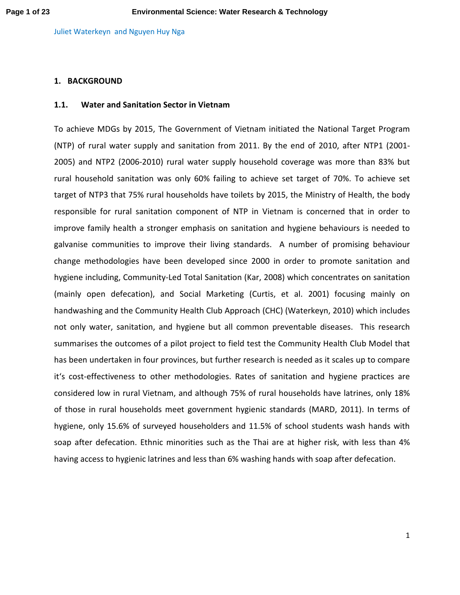## **1. BACKGROUND**

## **1.1. Water and Sanitation Sector in Vietnam**

To achieve MDGs by 2015, The Government of Vietnam initiated the National Target Program (NTP) of rural water supply and sanitation from 2011. By the end of 2010, after NTP1 (2001- 2005) and NTP2 (2006-2010) rural water supply household coverage was more than 83% but rural household sanitation was only 60% failing to achieve set target of 70%. To achieve set target of NTP3 that 75% rural households have toilets by 2015, the Ministry of Health, the body responsible for rural sanitation component of NTP in Vietnam is concerned that in order to improve family health a stronger emphasis on sanitation and hygiene behaviours is needed to galvanise communities to improve their living standards. A number of promising behaviour change methodologies have been developed since 2000 in order to promote sanitation and hygiene including, Community-Led Total Sanitation (Kar, 2008) which concentrates on sanitation (mainly open defecation), and Social Marketing (Curtis, et al. 2001) focusing mainly on handwashing and the Community Health Club Approach (CHC) (Waterkeyn, 2010) which includes not only water, sanitation, and hygiene but all common preventable diseases. This research summarises the outcomes of a pilot project to field test the Community Health Club Model that has been undertaken in four provinces, but further research is needed as it scales up to compare it's cost-effectiveness to other methodologies. Rates of sanitation and hygiene practices are considered low in rural Vietnam, and although 75% of rural households have latrines, only 18% of those in rural households meet government hygienic standards (MARD, 2011). In terms of hygiene, only 15.6% of surveyed householders and 11.5% of school students wash hands with soap after defecation. Ethnic minorities such as the Thai are at higher risk, with less than 4% having access to hygienic latrines and less than 6% washing hands with soap after defecation.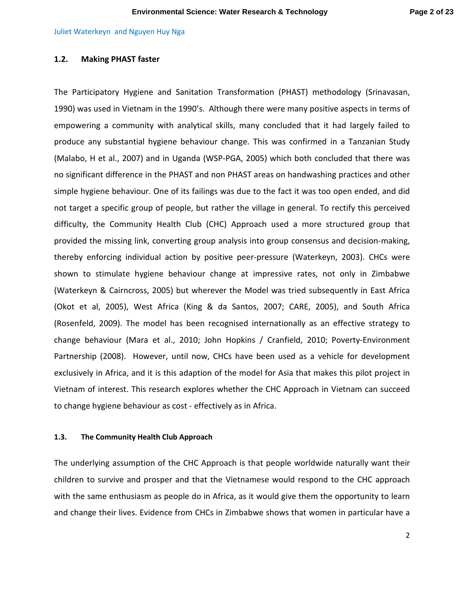## **1.2. Making PHAST faster**

The Participatory Hygiene and Sanitation Transformation (PHAST) methodology (Srinavasan, 1990) was used in Vietnam in the 1990's. Although there were many positive aspects in terms of empowering a community with analytical skills, many concluded that it had largely failed to produce any substantial hygiene behaviour change. This was confirmed in a Tanzanian Study (Malabo, H et al., 2007) and in Uganda (WSP-PGA, 2005) which both concluded that there was no significant difference in the PHAST and non PHAST areas on handwashing practices and other simple hygiene behaviour. One of its failings was due to the fact it was too open ended, and did not target a specific group of people, but rather the village in general. To rectify this perceived difficulty, the Community Health Club (CHC) Approach used a more structured group that provided the missing link, converting group analysis into group consensus and decision-making, thereby enforcing individual action by positive peer-pressure (Waterkeyn, 2003). CHCs were shown to stimulate hygiene behaviour change at impressive rates, not only in Zimbabwe (Waterkeyn & Cairncross, 2005) but wherever the Model was tried subsequently in East Africa (Okot et al, 2005), West Africa (King & da Santos, 2007; CARE, 2005), and South Africa (Rosenfeld, 2009). The model has been recognised internationally as an effective strategy to change behaviour (Mara et al., 2010; John Hopkins / Cranfield, 2010; Poverty-Environment Partnership (2008). However, until now, CHCs have been used as a vehicle for development exclusively in Africa, and it is this adaption of the model for Asia that makes this pilot project in Vietnam of interest. This research explores whether the CHC Approach in Vietnam can succeed to change hygiene behaviour as cost - effectively as in Africa.

## **1.3. The Community Health Club Approach**

The underlying assumption of the CHC Approach is that people worldwide naturally want their children to survive and prosper and that the Vietnamese would respond to the CHC approach with the same enthusiasm as people do in Africa, as it would give them the opportunity to learn and change their lives. Evidence from CHCs in Zimbabwe shows that women in particular have a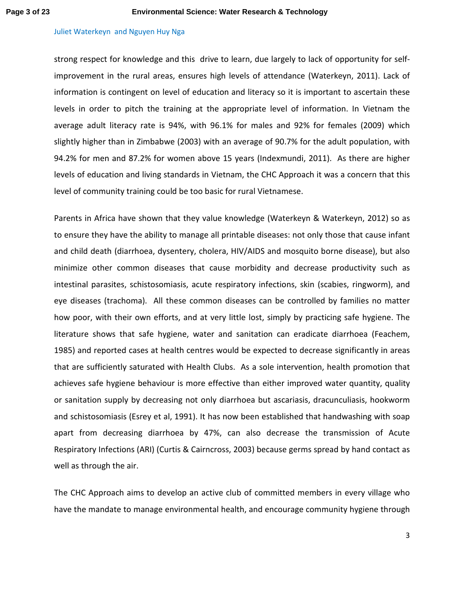strong respect for knowledge and this drive to learn, due largely to lack of opportunity for selfimprovement in the rural areas, ensures high levels of attendance (Waterkeyn, 2011). Lack of information is contingent on level of education and literacy so it is important to ascertain these levels in order to pitch the training at the appropriate level of information. In Vietnam the average adult literacy rate is 94%, with 96.1% for males and 92% for females (2009) which slightly higher than in Zimbabwe (2003) with an average of 90.7% for the adult population, with 94.2% for men and 87.2% for women above 15 years (Indexmundi, 2011). As there are higher levels of education and living standards in Vietnam, the CHC Approach it was a concern that this level of community training could be too basic for rural Vietnamese.

Parents in Africa have shown that they value knowledge (Waterkeyn & Waterkeyn, 2012) so as to ensure they have the ability to manage all printable diseases: not only those that cause infant and child death (diarrhoea, dysentery, cholera, HIV/AIDS and mosquito borne disease), but also minimize other common diseases that cause morbidity and decrease productivity such as intestinal parasites, schistosomiasis, acute respiratory infections, skin (scabies, ringworm), and eye diseases (trachoma). All these common diseases can be controlled by families no matter how poor, with their own efforts, and at very little lost, simply by practicing safe hygiene. The literature shows that safe hygiene, water and sanitation can eradicate diarrhoea (Feachem, 1985) and reported cases at health centres would be expected to decrease significantly in areas that are sufficiently saturated with Health Clubs. As a sole intervention, health promotion that achieves safe hygiene behaviour is more effective than either improved water quantity, quality or sanitation supply by decreasing not only diarrhoea but ascariasis, dracunculiasis, hookworm and schistosomiasis (Esrey et al, 1991). It has now been established that handwashing with soap apart from decreasing diarrhoea by 47%, can also decrease the transmission of Acute Respiratory Infections (ARI) (Curtis & Cairncross, 2003) because germs spread by hand contact as well as through the air.

The CHC Approach aims to develop an active club of committed members in every village who have the mandate to manage environmental health, and encourage community hygiene through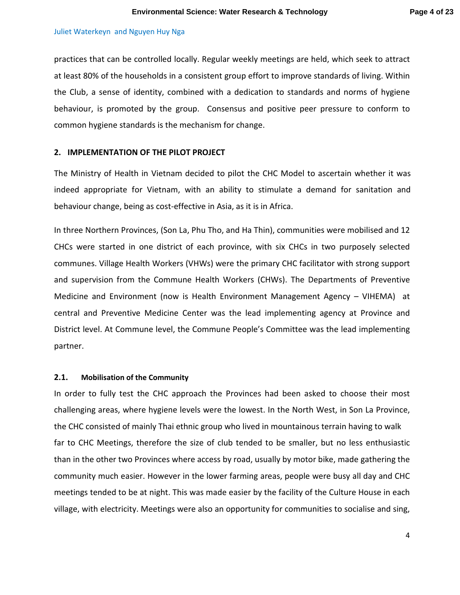practices that can be controlled locally. Regular weekly meetings are held, which seek to attract at least 80% of the households in a consistent group effort to improve standards of living. Within the Club, a sense of identity, combined with a dedication to standards and norms of hygiene behaviour, is promoted by the group. Consensus and positive peer pressure to conform to common hygiene standards is the mechanism for change.

### **2. IMPLEMENTATION OF THE PILOT PROJECT**

The Ministry of Health in Vietnam decided to pilot the CHC Model to ascertain whether it was indeed appropriate for Vietnam, with an ability to stimulate a demand for sanitation and behaviour change, being as cost-effective in Asia, as it is in Africa.

In three Northern Provinces, (Son La, Phu Tho, and Ha Thin), communities were mobilised and 12 CHCs were started in one district of each province, with six CHCs in two purposely selected communes. Village Health Workers (VHWs) were the primary CHC facilitator with strong support and supervision from the Commune Health Workers (CHWs). The Departments of Preventive Medicine and Environment (now is Health Environment Management Agency – VIHEMA) at central and Preventive Medicine Center was the lead implementing agency at Province and District level. At Commune level, the Commune People's Committee was the lead implementing partner.

## **2.1. Mobilisation of the Community**

In order to fully test the CHC approach the Provinces had been asked to choose their most challenging areas, where hygiene levels were the lowest. In the North West, in Son La Province, the CHC consisted of mainly Thai ethnic group who lived in mountainous terrain having to walk far to CHC Meetings, therefore the size of club tended to be smaller, but no less enthusiastic than in the other two Provinces where access by road, usually by motor bike, made gathering the community much easier. However in the lower farming areas, people were busy all day and CHC meetings tended to be at night. This was made easier by the facility of the Culture House in each village, with electricity. Meetings were also an opportunity for communities to socialise and sing,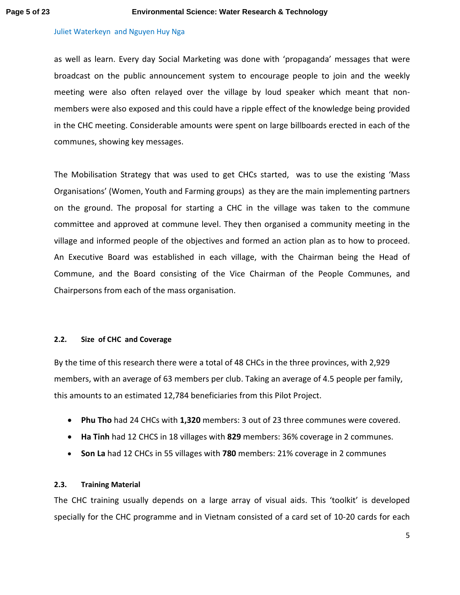as well as learn. Every day Social Marketing was done with 'propaganda' messages that were broadcast on the public announcement system to encourage people to join and the weekly meeting were also often relayed over the village by loud speaker which meant that nonmembers were also exposed and this could have a ripple effect of the knowledge being provided in the CHC meeting. Considerable amounts were spent on large billboards erected in each of the communes, showing key messages.

The Mobilisation Strategy that was used to get CHCs started, was to use the existing 'Mass Organisations' (Women, Youth and Farming groups) as they are the main implementing partners on the ground. The proposal for starting a CHC in the village was taken to the commune committee and approved at commune level. They then organised a community meeting in the village and informed people of the objectives and formed an action plan as to how to proceed. An Executive Board was established in each village, with the Chairman being the Head of Commune, and the Board consisting of the Vice Chairman of the People Communes, and Chairpersons from each of the mass organisation.

## **2.2. Size of CHC and Coverage**

By the time of this research there were a total of 48 CHCs in the three provinces, with 2,929 members, with an average of 63 members per club. Taking an average of 4.5 people per family, this amounts to an estimated 12,784 beneficiaries from this Pilot Project.

- **Phu Tho** had 24 CHCs with **1,320** members: 3 out of 23 three communes were covered.
- **Ha Tinh** had 12 CHCS in 18 villages with **829** members: 36% coverage in 2 communes.
- **Son La** had 12 CHCs in 55 villages with **780** members: 21% coverage in 2 communes

# **2.3. Training Material**

The CHC training usually depends on a large array of visual aids. This 'toolkit' is developed specially for the CHC programme and in Vietnam consisted of a card set of 10-20 cards for each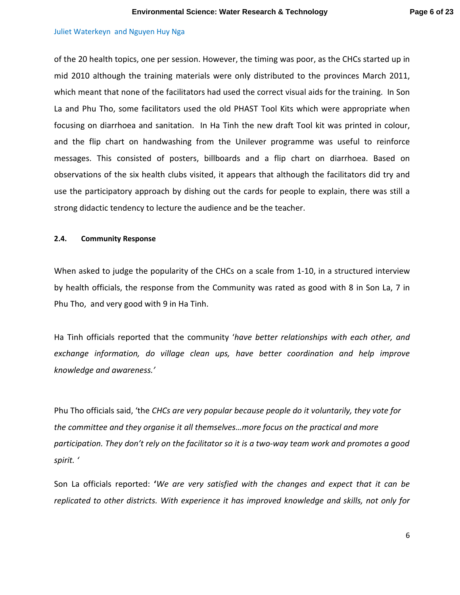of the 20 health topics, one per session. However, the timing was poor, as the CHCs started up in mid 2010 although the training materials were only distributed to the provinces March 2011, which meant that none of the facilitators had used the correct visual aids for the training. In Son La and Phu Tho, some facilitators used the old PHAST Tool Kits which were appropriate when focusing on diarrhoea and sanitation. In Ha Tinh the new draft Tool kit was printed in colour, and the flip chart on handwashing from the Unilever programme was useful to reinforce messages. This consisted of posters, billboards and a flip chart on diarrhoea. Based on observations of the six health clubs visited, it appears that although the facilitators did try and use the participatory approach by dishing out the cards for people to explain, there was still a strong didactic tendency to lecture the audience and be the teacher.

### **2.4. Community Response**

When asked to judge the popularity of the CHCs on a scale from 1-10, in a structured interview by health officials, the response from the Community was rated as good with 8 in Son La, 7 in Phu Tho, and very good with 9 in Ha Tinh.

Ha Tinh officials reported that the community '*have better relationships with each other, and exchange information, do village clean ups, have better coordination and help improve knowledge and awareness.'*

Phu Tho officials said, 'the *CHCs are very popular because people do it voluntarily, they vote for the committee and they organise it all themselves…more focus on the practical and more participation. They don't rely on the facilitator so it is a two-way team work and promotes a good spirit. '*

Son La officials reported: **'***We are very satisfied with the changes and expect that it can be replicated to other districts. With experience it has improved knowledge and skills, not only for*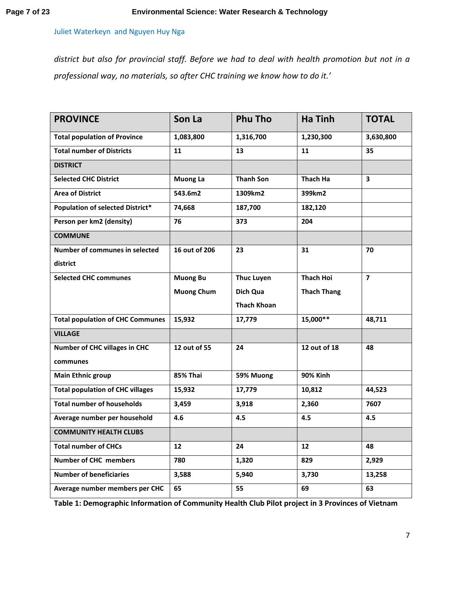*district but also for provincial staff. Before we had to deal with health promotion but not in a professional way, no materials, so after CHC training we know how to do it.'* 

| <b>PROVINCE</b>                         | Son La            | <b>Phu Tho</b>     | <b>Ha Tinh</b>     | <b>TOTAL</b>            |
|-----------------------------------------|-------------------|--------------------|--------------------|-------------------------|
| <b>Total population of Province</b>     | 1,083,800         | 1,316,700          | 1,230,300          | 3,630,800               |
| <b>Total number of Districts</b>        | 11                | 13                 | 11                 | 35                      |
| <b>DISTRICT</b>                         |                   |                    |                    |                         |
| <b>Selected CHC District</b>            | <b>Muong La</b>   | <b>Thanh Son</b>   | Thach Ha           | $\overline{\mathbf{3}}$ |
| <b>Area of District</b>                 | 543.6m2           | 1309km2            | 399km2             |                         |
| Population of selected District*        | 74,668            | 187,700            | 182,120            |                         |
| Person per km2 (density)                | 76                | 373                | 204                |                         |
| <b>COMMUNE</b>                          |                   |                    |                    |                         |
| Number of communes in selected          | 16 out of 206     | 23                 | 31                 | 70                      |
| district                                |                   |                    |                    |                         |
| <b>Selected CHC communes</b>            | <b>Muong Bu</b>   | <b>Thuc Luyen</b>  | <b>Thach Hoi</b>   | $\overline{7}$          |
|                                         | <b>Muong Chum</b> | Dich Qua           | <b>Thach Thang</b> |                         |
|                                         |                   | <b>Thach Khoan</b> |                    |                         |
| <b>Total population of CHC Communes</b> | 15,932            | 17,779             | $15,000**$         | 48,711                  |
| <b>VILLAGE</b>                          |                   |                    |                    |                         |
| <b>Number of CHC villages in CHC</b>    | 12 out of 55      | 24                 | 12 out of 18       | 48                      |
| communes                                |                   |                    |                    |                         |
| <b>Main Ethnic group</b>                | 85% Thai          | 59% Muong          | <b>90% Kinh</b>    |                         |
| <b>Total population of CHC villages</b> | 15,932            | 17,779             | 10,812             | 44,523                  |
| <b>Total number of households</b>       | 3,459             | 3,918              | 2,360              | 7607                    |
| Average number per household            | 4.6               | 4.5                | 4.5                | 4.5                     |
| <b>COMMUNITY HEALTH CLUBS</b>           |                   |                    |                    |                         |
| <b>Total number of CHCs</b>             | 12                | 24                 | 12                 | 48                      |
| <b>Number of CHC members</b>            | 780               | 1,320              | 829                | 2,929                   |
| <b>Number of beneficiaries</b>          | 3,588             | 5,940              | 3,730              | 13,258                  |
| Average number members per CHC          | 65                | 55                 | 69                 | 63                      |

**Table 1: Demographic Information of Community Health Club Pilot project in 3 Provinces of Vietnam**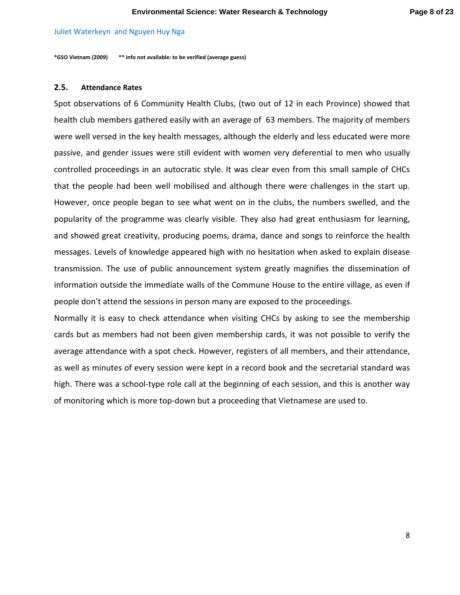**\*GSO Vietnam (2009) \*\* info not available: to be verified (average guess)** 

## **2.5. Attendance Rates**

Spot observations of 6 Community Health Clubs, (two out of 12 in each Province) showed that health club members gathered easily with an average of 63 members. The majority of members were well versed in the key health messages, although the elderly and less educated were more passive, and gender issues were still evident with women very deferential to men who usually controlled proceedings in an autocratic style. It was clear even from this small sample of CHCs that the people had been well mobilised and although there were challenges in the start up. However, once people began to see what went on in the clubs, the numbers swelled, and the popularity of the programme was clearly visible. They also had great enthusiasm for learning, and showed great creativity, producing poems, drama, dance and songs to reinforce the health messages. Levels of knowledge appeared high with no hesitation when asked to explain disease transmission. The use of public announcement system greatly magnifies the dissemination of information outside the immediate walls of the Commune House to the entire village, as even if people don't attend the sessions in person many are exposed to the proceedings.

Normally it is easy to check attendance when visiting CHCs by asking to see the membership cards but as members had not been given membership cards, it was not possible to verify the average attendance with a spot check. However, registers of all members, and their attendance, as well as minutes of every session were kept in a record book and the secretarial standard was high. There was a school-type role call at the beginning of each session, and this is another way of monitoring which is more top-down but a proceeding that Vietnamese are used to.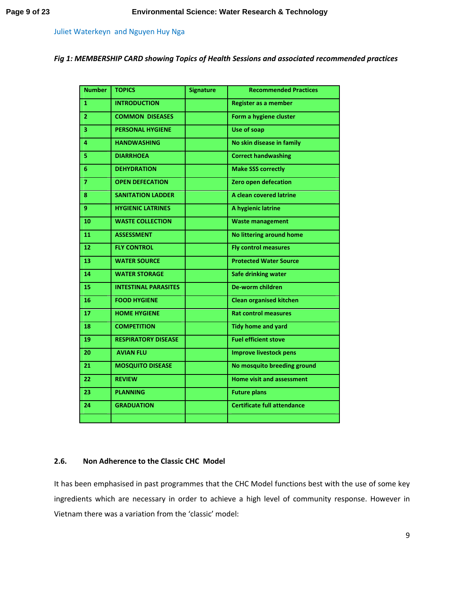*Fig 1: MEMBERSHIP CARD showing Topics of Health Sessions and associated recommended practices*

| <b>Number</b>  | <b>TOPICS</b>               | <b>Signature</b> | <b>Recommended Practices</b>       |
|----------------|-----------------------------|------------------|------------------------------------|
| $\mathbf{1}$   | <b>INTRODUCTION</b>         |                  | <b>Register as a member</b>        |
| $\overline{2}$ | <b>COMMON DISEASES</b>      |                  | Form a hygiene cluster             |
| 3              | <b>PERSONAL HYGIENE</b>     |                  | Use of soap                        |
| 4              | <b>HANDWASHING</b>          |                  | No skin disease in family          |
| 5              | <b>DIARRHOEA</b>            |                  | <b>Correct handwashing</b>         |
| 6              | <b>DEHYDRATION</b>          |                  | <b>Make SSS correctly</b>          |
| $\overline{7}$ | <b>OPEN DEFECATION</b>      |                  | Zero open defecation               |
| 8              | <b>SANITATION LADDER</b>    |                  | A clean covered latrine            |
| 9.             | <b>HYGIENIC LATRINES</b>    |                  | A hygienic latrine                 |
| 10             | <b>WASTE COLLECTION</b>     |                  | <b>Waste management</b>            |
| 11             | <b>ASSESSMENT</b>           |                  | <b>No littering around home</b>    |
| 12             | <b>FLY CONTROL</b>          |                  | <b>Fly control measures</b>        |
| 13             | <b>WATER SOURCE</b>         |                  | <b>Protected Water Source</b>      |
| 14             | <b>WATER STORAGE</b>        |                  | Safe drinking water                |
| 15             | <b>INTESTINAL PARASITES</b> |                  | <b>De-worm children</b>            |
| 16             | <b>FOOD HYGIENE</b>         |                  | <b>Clean organised kitchen</b>     |
| 17             | <b>HOME HYGIENE</b>         |                  | <b>Rat control measures</b>        |
| 18             | <b>COMPETITION</b>          |                  | <b>Tidy home and yard</b>          |
| 19             | <b>RESPIRATORY DISEASE</b>  |                  | <b>Fuel efficient stove</b>        |
| 20             | <b>AVIAN FLU</b>            |                  | <b>Improve livestock pens</b>      |
| 21             | <b>MOSQUITO DISEASE</b>     |                  | No mosquito breeding ground        |
| 22             | <b>REVIEW</b>               |                  | <b>Home visit and assessment</b>   |
| 23             | <b>PLANNING</b>             |                  | <b>Future plans</b>                |
| 24             | <b>GRADUATION</b>           |                  | <b>Certificate full attendance</b> |
|                |                             |                  |                                    |

## **2.6. Non Adherence to the Classic CHC Model**

It has been emphasised in past programmes that the CHC Model functions best with the use of some key ingredients which are necessary in order to achieve a high level of community response. However in Vietnam there was a variation from the 'classic' model: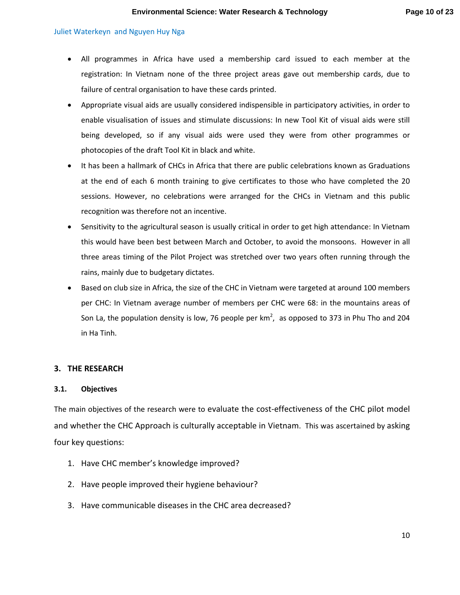- All programmes in Africa have used a membership card issued to each member at the registration: In Vietnam none of the three project areas gave out membership cards, due to failure of central organisation to have these cards printed.
- Appropriate visual aids are usually considered indispensible in participatory activities, in order to enable visualisation of issues and stimulate discussions: In new Tool Kit of visual aids were still being developed, so if any visual aids were used they were from other programmes or photocopies of the draft Tool Kit in black and white.
- It has been a hallmark of CHCs in Africa that there are public celebrations known as Graduations at the end of each 6 month training to give certificates to those who have completed the 20 sessions. However, no celebrations were arranged for the CHCs in Vietnam and this public recognition was therefore not an incentive.
- Sensitivity to the agricultural season is usually critical in order to get high attendance: In Vietnam this would have been best between March and October, to avoid the monsoons. However in all three areas timing of the Pilot Project was stretched over two years often running through the rains, mainly due to budgetary dictates.
- Based on club size in Africa, the size of the CHC in Vietnam were targeted at around 100 members per CHC: In Vietnam average number of members per CHC were 68: in the mountains areas of Son La, the population density is low, 76 people per km<sup>2</sup>, as opposed to 373 in Phu Tho and 204 in Ha Tinh.

## **3. THE RESEARCH**

### **3.1. Objectives**

The main objectives of the research were to evaluate the cost-effectiveness of the CHC pilot model and whether the CHC Approach is culturally acceptable in Vietnam. This was ascertained by asking four key questions:

- 1. Have CHC member's knowledge improved?
- 2. Have people improved their hygiene behaviour?
- 3. Have communicable diseases in the CHC area decreased?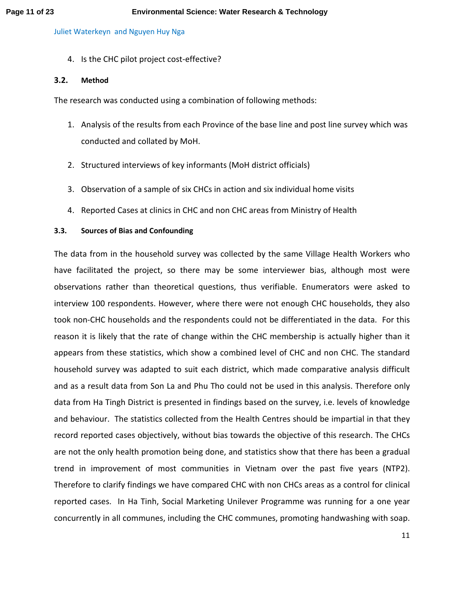4. Is the CHC pilot project cost-effective?

# **3.2. Method**

The research was conducted using a combination of following methods:

- 1. Analysis of the results from each Province of the base line and post line survey which was conducted and collated by MoH.
- 2. Structured interviews of key informants (MoH district officials)
- 3. Observation of a sample of six CHCs in action and six individual home visits
- 4. Reported Cases at clinics in CHC and non CHC areas from Ministry of Health

# **3.3. Sources of Bias and Confounding**

The data from in the household survey was collected by the same Village Health Workers who have facilitated the project, so there may be some interviewer bias, although most were observations rather than theoretical questions, thus verifiable. Enumerators were asked to interview 100 respondents. However, where there were not enough CHC households, they also took non-CHC households and the respondents could not be differentiated in the data. For this reason it is likely that the rate of change within the CHC membership is actually higher than it appears from these statistics, which show a combined level of CHC and non CHC. The standard household survey was adapted to suit each district, which made comparative analysis difficult and as a result data from Son La and Phu Tho could not be used in this analysis. Therefore only data from Ha Tingh District is presented in findings based on the survey, i.e. levels of knowledge and behaviour. The statistics collected from the Health Centres should be impartial in that they record reported cases objectively, without bias towards the objective of this research. The CHCs are not the only health promotion being done, and statistics show that there has been a gradual trend in improvement of most communities in Vietnam over the past five years (NTP2). Therefore to clarify findings we have compared CHC with non CHCs areas as a control for clinical reported cases. In Ha Tinh, Social Marketing Unilever Programme was running for a one year concurrently in all communes, including the CHC communes, promoting handwashing with soap.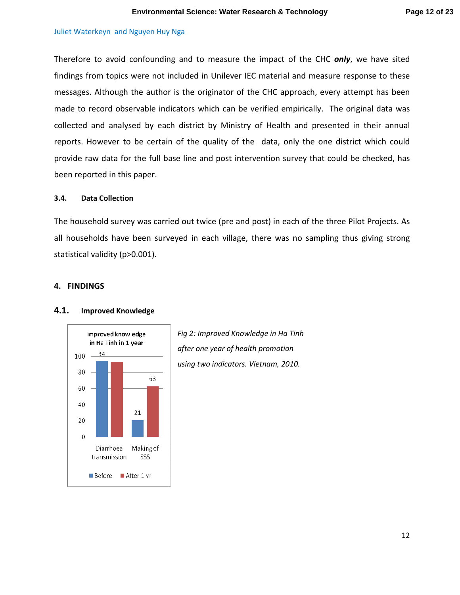Therefore to avoid confounding and to measure the impact of the CHC *only*, we have sited findings from topics were not included in Unilever IEC material and measure response to these messages. Although the author is the originator of the CHC approach, every attempt has been made to record observable indicators which can be verified empirically. The original data was collected and analysed by each district by Ministry of Health and presented in their annual reports. However to be certain of the quality of the data, only the one district which could provide raw data for the full base line and post intervention survey that could be checked, has been reported in this paper.

## **3.4. Data Collection**

The household survey was carried out twice (pre and post) in each of the three Pilot Projects. As all households have been surveyed in each village, there was no sampling thus giving strong statistical validity (p>0.001).

## **4. FINDINGS**



## **4.1. Improved Knowledge**

*Fig 2: Improved Knowledge in Ha Tinh after one year of health promotion using two indicators. Vietnam, 2010.*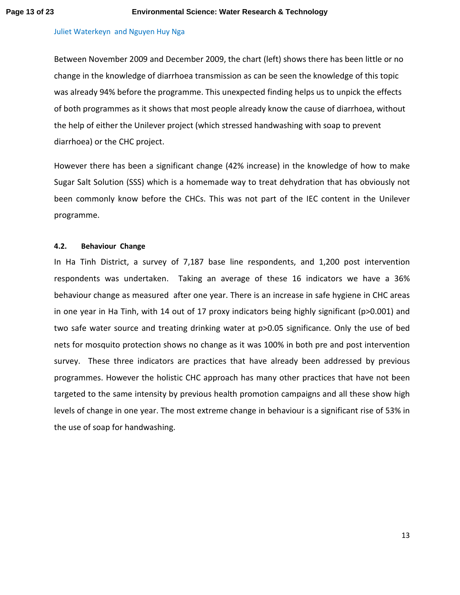Between November 2009 and December 2009, the chart (left) shows there has been little or no change in the knowledge of diarrhoea transmission as can be seen the knowledge of this topic was already 94% before the programme. This unexpected finding helps us to unpick the effects of both programmes as it shows that most people already know the cause of diarrhoea, without the help of either the Unilever project (which stressed handwashing with soap to prevent diarrhoea) or the CHC project.

However there has been a significant change (42% increase) in the knowledge of how to make Sugar Salt Solution (SSS) which is a homemade way to treat dehydration that has obviously not been commonly know before the CHCs. This was not part of the IEC content in the Unilever programme.

## **4.2. Behaviour Change**

In Ha Tinh District, a survey of 7,187 base line respondents, and 1,200 post intervention respondents was undertaken. Taking an average of these 16 indicators we have a 36% behaviour change as measured after one year. There is an increase in safe hygiene in CHC areas in one year in Ha Tinh, with 14 out of 17 proxy indicators being highly significant (p>0.001) and two safe water source and treating drinking water at p>0.05 significance. Only the use of bed nets for mosquito protection shows no change as it was 100% in both pre and post intervention survey. These three indicators are practices that have already been addressed by previous programmes. However the holistic CHC approach has many other practices that have not been targeted to the same intensity by previous health promotion campaigns and all these show high levels of change in one year. The most extreme change in behaviour is a significant rise of 53% in the use of soap for handwashing.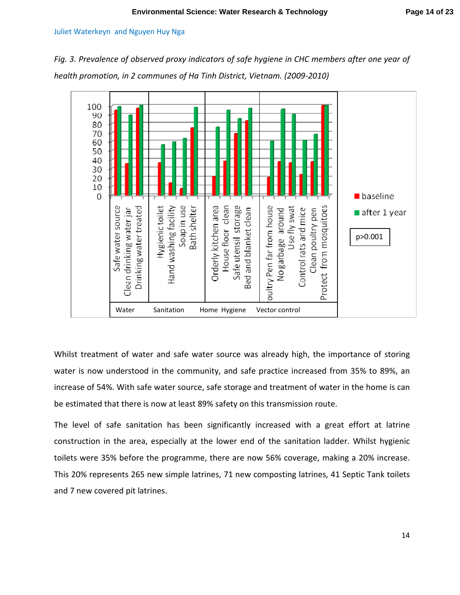*Fig. 3. Prevalence of observed proxy indicators of safe hygiene in CHC members after one year of health promotion, in 2 communes of Ha Tinh District, Vietnam. (2009-2010)* 



Whilst treatment of water and safe water source was already high, the importance of storing water is now understood in the community, and safe practice increased from 35% to 89%, an increase of 54%. With safe water source, safe storage and treatment of water in the home is can be estimated that there is now at least 89% safety on this transmission route.

The level of safe sanitation has been significantly increased with a great effort at latrine construction in the area, especially at the lower end of the sanitation ladder. Whilst hygienic toilets were 35% before the programme, there are now 56% coverage, making a 20% increase. This 20% represents 265 new simple latrines, 71 new composting latrines, 41 Septic Tank toilets and 7 new covered pit latrines.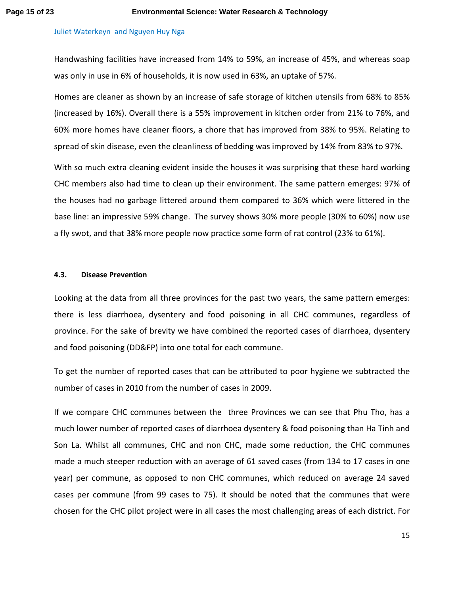Handwashing facilities have increased from 14% to 59%, an increase of 45%, and whereas soap was only in use in 6% of households, it is now used in 63%, an uptake of 57%.

Homes are cleaner as shown by an increase of safe storage of kitchen utensils from 68% to 85% (increased by 16%). Overall there is a 55% improvement in kitchen order from 21% to 76%, and 60% more homes have cleaner floors, a chore that has improved from 38% to 95%. Relating to spread of skin disease, even the cleanliness of bedding was improved by 14% from 83% to 97%.

With so much extra cleaning evident inside the houses it was surprising that these hard working CHC members also had time to clean up their environment. The same pattern emerges: 97% of the houses had no garbage littered around them compared to 36% which were littered in the base line: an impressive 59% change. The survey shows 30% more people (30% to 60%) now use a fly swot, and that 38% more people now practice some form of rat control (23% to 61%).

## **4.3. Disease Prevention**

Looking at the data from all three provinces for the past two years, the same pattern emerges: there is less diarrhoea, dysentery and food poisoning in all CHC communes, regardless of province. For the sake of brevity we have combined the reported cases of diarrhoea, dysentery and food poisoning (DD&FP) into one total for each commune.

To get the number of reported cases that can be attributed to poor hygiene we subtracted the number of cases in 2010 from the number of cases in 2009.

If we compare CHC communes between the three Provinces we can see that Phu Tho, has a much lower number of reported cases of diarrhoea dysentery & food poisoning than Ha Tinh and Son La. Whilst all communes, CHC and non CHC, made some reduction, the CHC communes made a much steeper reduction with an average of 61 saved cases (from 134 to 17 cases in one year) per commune, as opposed to non CHC communes, which reduced on average 24 saved cases per commune (from 99 cases to 75). It should be noted that the communes that were chosen for the CHC pilot project were in all cases the most challenging areas of each district. For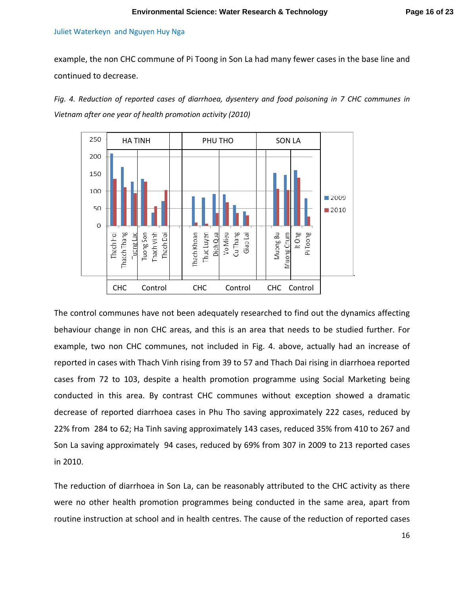example, the non CHC commune of Pi Toong in Son La had many fewer cases in the base line and continued to decrease.

*Fig. 4. Reduction of reported cases of diarrhoea, dysentery and food poisoning in 7 CHC communes in Vietnam after one year of health promotion activity (2010)* 



The control communes have not been adequately researched to find out the dynamics affecting behaviour change in non CHC areas, and this is an area that needs to be studied further. For example, two non CHC communes, not included in Fig. 4. above, actually had an increase of reported in cases with Thach Vinh rising from 39 to 57 and Thach Dai rising in diarrhoea reported cases from 72 to 103, despite a health promotion programme using Social Marketing being conducted in this area. By contrast CHC communes without exception showed a dramatic decrease of reported diarrhoea cases in Phu Tho saving approximately 222 cases, reduced by 22% from 284 to 62; Ha Tinh saving approximately 143 cases, reduced 35% from 410 to 267 and Son La saving approximately 94 cases, reduced by 69% from 307 in 2009 to 213 reported cases in 2010.

The reduction of diarrhoea in Son La, can be reasonably attributed to the CHC activity as there were no other health promotion programmes being conducted in the same area, apart from routine instruction at school and in health centres. The cause of the reduction of reported cases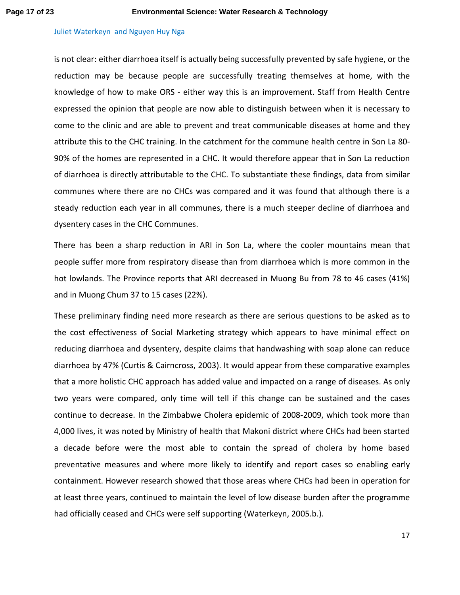is not clear: either diarrhoea itself is actually being successfully prevented by safe hygiene, or the reduction may be because people are successfully treating themselves at home, with the knowledge of how to make ORS - either way this is an improvement. Staff from Health Centre expressed the opinion that people are now able to distinguish between when it is necessary to come to the clinic and are able to prevent and treat communicable diseases at home and they attribute this to the CHC training. In the catchment for the commune health centre in Son La 80- 90% of the homes are represented in a CHC. It would therefore appear that in Son La reduction of diarrhoea is directly attributable to the CHC. To substantiate these findings, data from similar communes where there are no CHCs was compared and it was found that although there is a steady reduction each year in all communes, there is a much steeper decline of diarrhoea and dysentery cases in the CHC Communes.

There has been a sharp reduction in ARI in Son La, where the cooler mountains mean that people suffer more from respiratory disease than from diarrhoea which is more common in the hot lowlands. The Province reports that ARI decreased in Muong Bu from 78 to 46 cases (41%) and in Muong Chum 37 to 15 cases (22%).

These preliminary finding need more research as there are serious questions to be asked as to the cost effectiveness of Social Marketing strategy which appears to have minimal effect on reducing diarrhoea and dysentery, despite claims that handwashing with soap alone can reduce diarrhoea by 47% (Curtis & Cairncross, 2003). It would appear from these comparative examples that a more holistic CHC approach has added value and impacted on a range of diseases. As only two years were compared, only time will tell if this change can be sustained and the cases continue to decrease. In the Zimbabwe Cholera epidemic of 2008-2009, which took more than 4,000 lives, it was noted by Ministry of health that Makoni district where CHCs had been started a decade before were the most able to contain the spread of cholera by home based preventative measures and where more likely to identify and report cases so enabling early containment. However research showed that those areas where CHCs had been in operation for at least three years, continued to maintain the level of low disease burden after the programme had officially ceased and CHCs were self supporting (Waterkeyn, 2005.b.).

17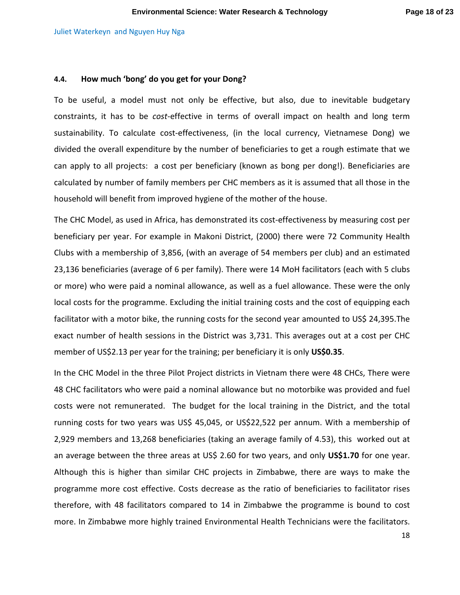## **4.4. How much 'bong' do you get for your Dong?**

To be useful, a model must not only be effective, but also, due to inevitable budgetary constraints, it has to be *cost*-effective in terms of overall impact on health and long term sustainability. To calculate cost-effectiveness, (in the local currency, Vietnamese Dong) we divided the overall expenditure by the number of beneficiaries to get a rough estimate that we can apply to all projects: a cost per beneficiary (known as bong per dong!). Beneficiaries are calculated by number of family members per CHC members as it is assumed that all those in the household will benefit from improved hygiene of the mother of the house.

The CHC Model, as used in Africa, has demonstrated its cost-effectiveness by measuring cost per beneficiary per year. For example in Makoni District, (2000) there were 72 Community Health Clubs with a membership of 3,856, (with an average of 54 members per club) and an estimated 23,136 beneficiaries (average of 6 per family). There were 14 MoH facilitators (each with 5 clubs or more) who were paid a nominal allowance, as well as a fuel allowance. These were the only local costs for the programme. Excluding the initial training costs and the cost of equipping each facilitator with a motor bike, the running costs for the second year amounted to US\$ 24,395.The exact number of health sessions in the District was 3,731. This averages out at a cost per CHC member of US\$2.13 per year for the training; per beneficiary it is only **US\$0.35**.

In the CHC Model in the three Pilot Project districts in Vietnam there were 48 CHCs, There were 48 CHC facilitators who were paid a nominal allowance but no motorbike was provided and fuel costs were not remunerated. The budget for the local training in the District, and the total running costs for two years was US\$ 45,045, or US\$22,522 per annum. With a membership of 2,929 members and 13,268 beneficiaries (taking an average family of 4.53), this worked out at an average between the three areas at US\$ 2.60 for two years, and only **US\$1.70** for one year. Although this is higher than similar CHC projects in Zimbabwe, there are ways to make the programme more cost effective. Costs decrease as the ratio of beneficiaries to facilitator rises therefore, with 48 facilitators compared to 14 in Zimbabwe the programme is bound to cost more. In Zimbabwe more highly trained Environmental Health Technicians were the facilitators.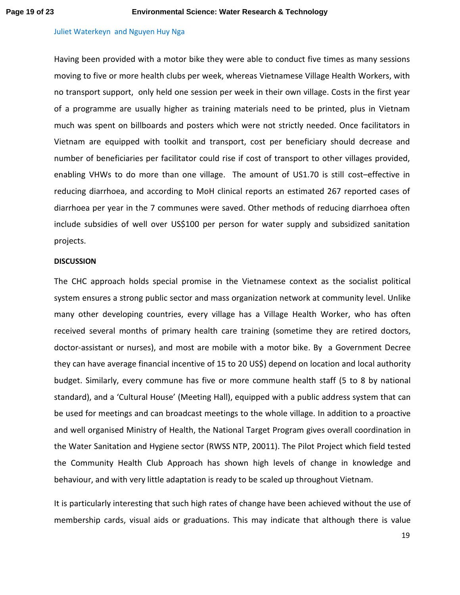Having been provided with a motor bike they were able to conduct five times as many sessions moving to five or more health clubs per week, whereas Vietnamese Village Health Workers, with no transport support, only held one session per week in their own village. Costs in the first year of a programme are usually higher as training materials need to be printed, plus in Vietnam much was spent on billboards and posters which were not strictly needed. Once facilitators in Vietnam are equipped with toolkit and transport, cost per beneficiary should decrease and number of beneficiaries per facilitator could rise if cost of transport to other villages provided, enabling VHWs to do more than one village. The amount of US1.70 is still cost–effective in reducing diarrhoea, and according to MoH clinical reports an estimated 267 reported cases of diarrhoea per year in the 7 communes were saved. Other methods of reducing diarrhoea often include subsidies of well over US\$100 per person for water supply and subsidized sanitation projects.

## **DISCUSSION**

The CHC approach holds special promise in the Vietnamese context as the socialist political system ensures a strong public sector and mass organization network at community level. Unlike many other developing countries, every village has a Village Health Worker, who has often received several months of primary health care training (sometime they are retired doctors, doctor-assistant or nurses), and most are mobile with a motor bike. By a Government Decree they can have average financial incentive of 15 to 20 US\$) depend on location and local authority budget. Similarly, every commune has five or more commune health staff (5 to 8 by national standard), and a 'Cultural House' (Meeting Hall), equipped with a public address system that can be used for meetings and can broadcast meetings to the whole village. In addition to a proactive and well organised Ministry of Health, the National Target Program gives overall coordination in the Water Sanitation and Hygiene sector (RWSS NTP, 20011). The Pilot Project which field tested the Community Health Club Approach has shown high levels of change in knowledge and behaviour, and with very little adaptation is ready to be scaled up throughout Vietnam.

It is particularly interesting that such high rates of change have been achieved without the use of membership cards, visual aids or graduations. This may indicate that although there is value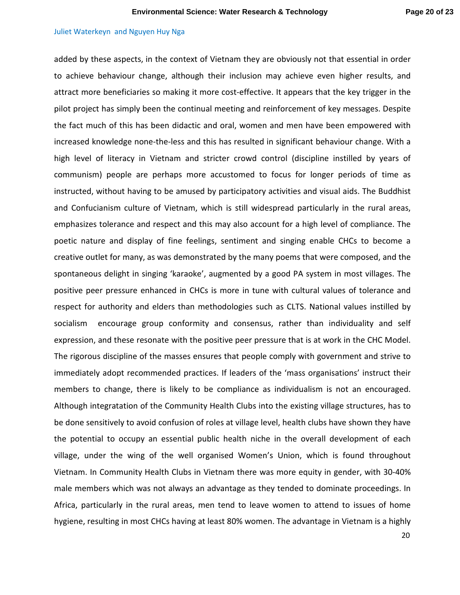added by these aspects, in the context of Vietnam they are obviously not that essential in order to achieve behaviour change, although their inclusion may achieve even higher results, and attract more beneficiaries so making it more cost-effective. It appears that the key trigger in the pilot project has simply been the continual meeting and reinforcement of key messages. Despite the fact much of this has been didactic and oral, women and men have been empowered with increased knowledge none-the-less and this has resulted in significant behaviour change. With a high level of literacy in Vietnam and stricter crowd control (discipline instilled by years of communism) people are perhaps more accustomed to focus for longer periods of time as instructed, without having to be amused by participatory activities and visual aids. The Buddhist and Confucianism culture of Vietnam, which is still widespread particularly in the rural areas, emphasizes tolerance and respect and this may also account for a high level of compliance. The poetic nature and display of fine feelings, sentiment and singing enable CHCs to become a creative outlet for many, as was demonstrated by the many poems that were composed, and the spontaneous delight in singing 'karaoke', augmented by a good PA system in most villages. The positive peer pressure enhanced in CHCs is more in tune with cultural values of tolerance and respect for authority and elders than methodologies such as CLTS. National values instilled by socialism encourage group conformity and consensus, rather than individuality and self expression, and these resonate with the positive peer pressure that is at work in the CHC Model. The rigorous discipline of the masses ensures that people comply with government and strive to immediately adopt recommended practices. If leaders of the 'mass organisations' instruct their members to change, there is likely to be compliance as individualism is not an encouraged. Although integratation of the Community Health Clubs into the existing village structures, has to be done sensitively to avoid confusion of roles at village level, health clubs have shown they have the potential to occupy an essential public health niche in the overall development of each village, under the wing of the well organised Women's Union, which is found throughout Vietnam. In Community Health Clubs in Vietnam there was more equity in gender, with 30-40% male members which was not always an advantage as they tended to dominate proceedings. In Africa, particularly in the rural areas, men tend to leave women to attend to issues of home hygiene, resulting in most CHCs having at least 80% women. The advantage in Vietnam is a highly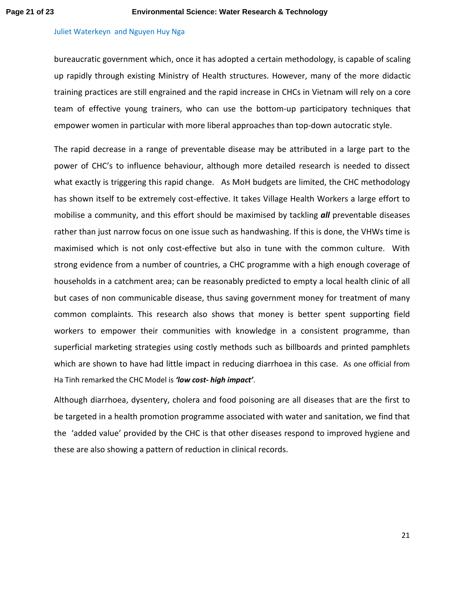bureaucratic government which, once it has adopted a certain methodology, is capable of scaling up rapidly through existing Ministry of Health structures. However, many of the more didactic training practices are still engrained and the rapid increase in CHCs in Vietnam will rely on a core team of effective young trainers, who can use the bottom-up participatory techniques that empower women in particular with more liberal approaches than top-down autocratic style.

The rapid decrease in a range of preventable disease may be attributed in a large part to the power of CHC's to influence behaviour, although more detailed research is needed to dissect what exactly is triggering this rapid change. As MoH budgets are limited, the CHC methodology has shown itself to be extremely cost-effective. It takes Village Health Workers a large effort to mobilise a community, and this effort should be maximised by tackling *all* preventable diseases rather than just narrow focus on one issue such as handwashing. If this is done, the VHWs time is maximised which is not only cost-effective but also in tune with the common culture. With strong evidence from a number of countries, a CHC programme with a high enough coverage of households in a catchment area; can be reasonably predicted to empty a local health clinic of all but cases of non communicable disease, thus saving government money for treatment of many common complaints. This research also shows that money is better spent supporting field workers to empower their communities with knowledge in a consistent programme, than superficial marketing strategies using costly methods such as billboards and printed pamphlets which are shown to have had little impact in reducing diarrhoea in this case. As one official from Ha Tinh remarked the CHC Model is *'low cost- high impact'*.

Although diarrhoea, dysentery, cholera and food poisoning are all diseases that are the first to be targeted in a health promotion programme associated with water and sanitation, we find that the 'added value' provided by the CHC is that other diseases respond to improved hygiene and these are also showing a pattern of reduction in clinical records.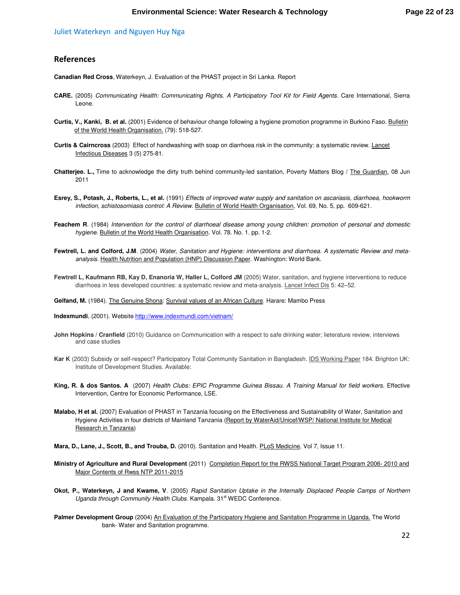## **References**

**Canadian Red Cross**, Waterkeyn, J. Evaluation of the PHAST project in Sri Lanka. Report

- **CARE.** (2005) *Communicating Health: Communicating Rights. A Participatory Tool Kit for Field Agents.* Care International, Sierra Leone.
- **Curtis, V., Kanki, B. et al.** (2001) Evidence of behaviour change following a hygiene promotion programme in Burkino Faso. Bulletin of the World Health Organisation. (79): 518-527.
- **Curtis & Cairncross** (2003) Effect of handwashing with soap on diarrhoea risk in the community: a systematic review. Lancet Infectious Diseases 3 (5) 275-81.
- **Chatterjee. L.,** Time to acknowledge the dirty truth behind community-led sanitation, Poverty Matters Blog / The Guardian, 08 Jun 2011
- **Esrey, S., Potash, J., Roberts, L., et al.** (1991) *Effects of improved water supply and sanitation on ascariasis, diarrhoea, hookworm infection, schistosomiasis control: A Review*. Bulletin of World Health Organisation, Vol. 69, No. 5, pp. 609-621.
- **Feachem R**. (1984) *Intervention for the control of diarrhoeal disease among young children: promotion of personal and domestic hygiene*. Bulletin of the World Health Organisation. Vol. 78. No. 1. pp. 1-2.
- **Fewtrell, L. and Colford, J.M**. (2004) *Water, Sanitation and Hygiene: interventions and diarrhoea. A systematic Review and metaanalysis.* Health Nutrition and Population (HNP) Discussion Paper. Washington: World Bank.
- **Fewtrell L, Kaufmann RB, Kay D, Enanoria W, Haller L, Colford JM** (2005) Water, sanitation, and hygiene interventions to reduce diarrhoea in less developed countries: a systematic review and meta-analysis. Lancet Infect Dis 5: 42-52.

Gelfand, M. (1984). The Genuine Shona: Survival values of an African Culture. Harare: Mambo Press

**Indexmundi**, (2001). Website http://www.indexmundi.com/vietnam/

- **John Hopkins / Cranfield** (2010) Guidance on Communication with a respect to safe drinking water; lieterature review, interviews and case studies
- **Kar K** (2003) Subsidy or self-respect? Participatory Total Community Sanitation in Bangladesh. IDS Working Paper 184. Brighton UK: Institute of Development Studies. Available:
- **King, R. & dos Santos. A** (2007) *Health Clubs: EPIC Programme Guinea Bissau. A Training Manual for field workers.* Effective Intervention, Centre for Economic Performance, LSE.
- **Malabo, H et al.** (2007) Evaluation of PHAST in Tanzania focusing on the Effectiveness and Sustainability of Water, Sanitation and Hygiene Activities in four districts of Mainland Tanzania (Report by WaterAid/Unicef/WSP/ National Institute for Medical Research in Tanzania)
- **Mara, D., Lane, J., Scott, B., and Trouba, D.** (2010). Sanitation and Health. PLoS Medicine, Vol 7, Issue 11.
- **Ministry of Agriculture and Rural Development** (2011) Completion Report for the RWSS National Target Program 2006- 2010 and Major Contents of Rwss NTP 2011-2015
- **Okot, P., Waterkeyn, J and Kwame, V**. (2005) *Rapid Sanitation Uptake in the Internally Displaced People Camps of Northern*  Uganda through Community Health Clubs. Kampala. 31<sup>st</sup> WEDC Conference.
- Palmer Development Group (2004) An Evaluation of the Participatory Hygiene and Sanitation Programme in Uganda. The World bank- Water and Sanitation programme.